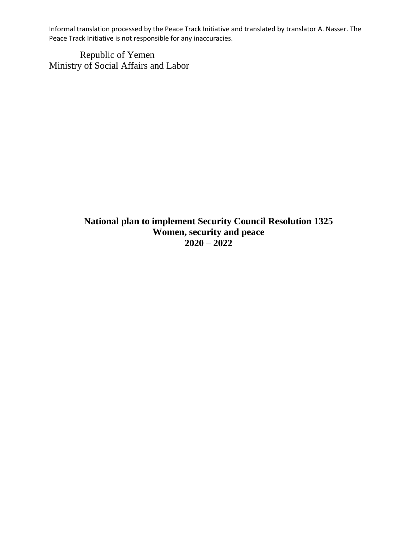Republic of Yemen Ministry of Social Affairs and Labor

> **National plan to implement Security Council Resolution 1325 Women, security and peace 2020** – **2022**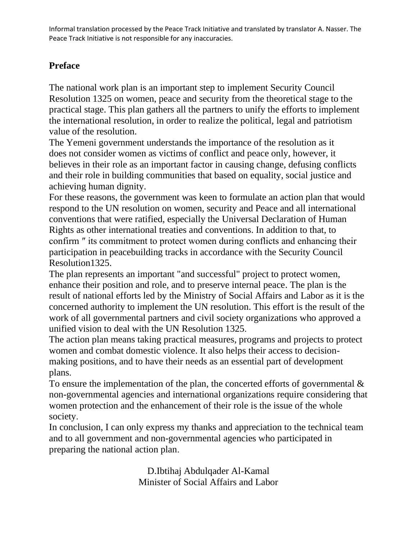# **Preface**

The national work plan is an important step to implement Security Council Resolution 1325 on women, peace and security from the theoretical stage to the practical stage. This plan gathers all the partners to unify the efforts to implement the international resolution, in order to realize the political, legal and patriotism value of the resolution.

The Yemeni government understands the importance of the resolution as it does not consider women as victims of conflict and peace only, however, it believes in their role as an important factor in causing change, defusing conflicts and their role in building communities that based on equality, social justice and achieving human dignity.

For these reasons, the government was keen to formulate an action plan that would respond to the UN resolution on women, security and Peace and all international conventions that were ratified, especially the Universal Declaration of Human Rights as other international treaties and conventions. In addition to that, to confirm ″ its commitment to protect women during conflicts and enhancing their participation in peacebuilding tracks in accordance with the Security Council Resolution1325.

The plan represents an important "and successful" project to protect women, enhance their position and role, and to preserve internal peace. The plan is the result of national efforts led by the Ministry of Social Affairs and Labor as it is the concerned authority to implement the UN resolution. This effort is the result of the work of all governmental partners and civil society organizations who approved a unified vision to deal with the UN Resolution 1325 .

The action plan means taking practical measures, programs and projects to protect women and combat domestic violence. It also helps their access to decisionmaking positions, and to have their needs as an essential part of development plans.

To ensure the implementation of the plan, the concerted efforts of governmental  $\&$ non-governmental agencies and international organizations require considering that women protection and the enhancement of their role is the issue of the whole society.

In conclusion, I can only express my thanks and appreciation to the technical team and to all government and non-governmental agencies who participated in preparing the national action plan.

> D.Ibtihaj Abdulqader Al-Kamal Minister of Social Affairs and Labor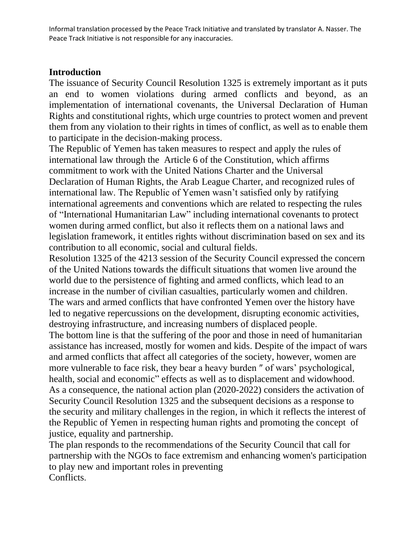#### **Introduction**

The issuance of Security Council Resolution 1325 is extremely important as it puts an end to women violations during armed conflicts and beyond, as an implementation of international covenants, the Universal Declaration of Human Rights and constitutional rights, which urge countries to protect women and prevent them from any violation to their rights in times of conflict, as well as to enable them to participate in the decision-making process.

The Republic of Yemen has taken measures to respect and apply the rules of international law through the Article 6 of the Constitution, which affirms commitment to work with the United Nations Charter and the Universal Declaration of Human Rights, the Arab League Charter, and recognized rules of international law. The Republic of Yemen wasn't satisfied only by ratifying international agreements and conventions which are related to respecting the rules of "International Humanitarian Law" including international covenants to protect women during armed conflict, but also it reflects them on a national laws and legislation framework, it entitles rights without discrimination based on sex and its contribution to all economic, social and cultural fields.

Resolution 1325 of the 4213 session of the Security Council expressed the concern of the United Nations towards the difficult situations that women live around the world due to the persistence of fighting and armed conflicts, which lead to an increase in the number of civilian casualties, particularly women and children. The wars and armed conflicts that have confronted Yemen over the history have led to negative repercussions on the development, disrupting economic activities, destroying infrastructure, and increasing numbers of displaced people.

The bottom line is that the suffering of the poor and those in need of humanitarian assistance has increased, mostly for women and kids. Despite of the impact of wars and armed conflicts that affect all categories of the society, however, women are more vulnerable to face risk, they bear a heavy burden ″ of wars' psychological, health, social and economic" effects as well as to displacement and widowhood. As a consequence, the national action plan (2020-2022) considers the activation of Security Council Resolution 1325 and the subsequent decisions as a response to the security and military challenges in the region, in which it reflects the interest of the Republic of Yemen in respecting human rights and promoting the concept of justice, equality and partnership.

The plan responds to the recommendations of the Security Council that call for partnership with the NGOs to face extremism and enhancing women's participation to play new and important roles in preventing Conflicts.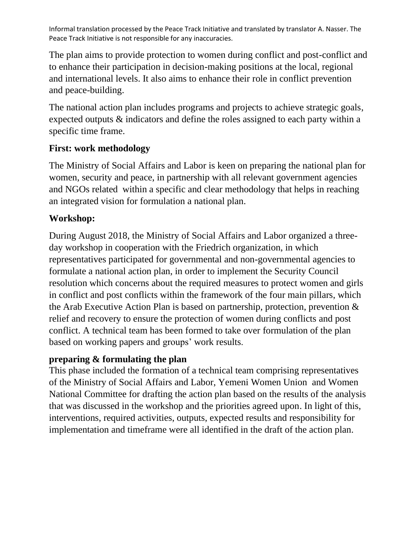The plan aims to provide protection to women during conflict and post-conflict and to enhance their participation in decision-making positions at the local, regional and international levels. It also aims to enhance their role in conflict prevention and peace-building.

The national action plan includes programs and projects to achieve strategic goals, expected outputs & indicators and define the roles assigned to each party within a specific time frame.

## **First: work methodology**

The Ministry of Social Affairs and Labor is keen on preparing the national plan for women, security and peace, in partnership with all relevant government agencies and NGOs related within a specific and clear methodology that helps in reaching an integrated vision for formulation a national plan.

# **Workshop:**

During August 2018, the Ministry of Social Affairs and Labor organized a threeday workshop in cooperation with the Friedrich organization, in which representatives participated for governmental and non-governmental agencies to formulate a national action plan, in order to implement the Security Council resolution which concerns about the required measures to protect women and girls in conflict and post conflicts within the framework of the four main pillars, which the Arab Executive Action Plan is based on partnership, protection, prevention & relief and recovery to ensure the protection of women during conflicts and post conflict. A technical team has been formed to take over formulation of the plan based on working papers and groups' work results.

## **preparing & formulating the plan**

This phase included the formation of a technical team comprising representatives of the Ministry of Social Affairs and Labor, Yemeni Women Union and Women National Committee for drafting the action plan based on the results of the analysis that was discussed in the workshop and the priorities agreed upon. In light of this, interventions, required activities, outputs, expected results and responsibility for implementation and timeframe were all identified in the draft of the action plan.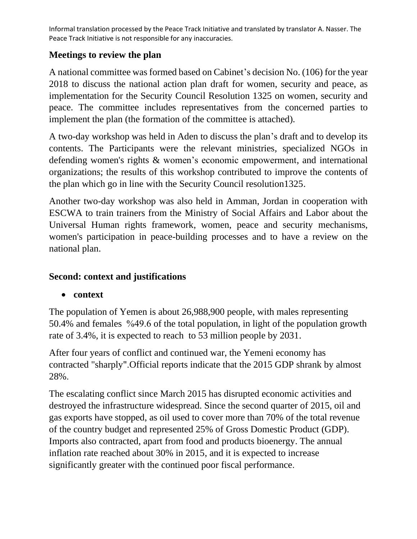# **Meetings to review the plan**

A national committee was formed based on Cabinet's decision No. (106) for the year 2018 to discuss the national action plan draft for women, security and peace, as implementation for the Security Council Resolution 1325 on women, security and peace. The committee includes representatives from the concerned parties to implement the plan (the formation of the committee is attached).

A two-day workshop was held in Aden to discuss the plan's draft and to develop its contents. The Participants were the relevant ministries, specialized NGOs in defending women's rights & women's economic empowerment, and international organizations; the results of this workshop contributed to improve the contents of the plan which go in line with the Security Council resolution1325.

Another two-day workshop was also held in Amman, Jordan in cooperation with ESCWA to train trainers from the Ministry of Social Affairs and Labor about the Universal Human rights framework, women, peace and security mechanisms, women's participation in peace-building processes and to have a review on the national plan.

# **Second: context and justifications**

# • **context**

The population of Yemen is about 26,988,900 people, with males representing 50.4% and females %49.6 of the total population, in light of the population growth rate of 3.4%, it is expected to reach to 53 million people by 2031.

After four years of conflict and continued war, the Yemeni economy has contracted "sharply ".Official reports indicate that the 2015 GDP shrank by almost 28% .

The escalating conflict since March 2015 has disrupted economic activities and destroyed the infrastructure widespread. Since the second quarter of 2015, oil and gas exports have stopped, as oil used to cover more than 70% of the total revenue of the country budget and represented 25% of Gross Domestic Product (GDP). Imports also contracted, apart from food and products bioenergy. The annual inflation rate reached about 30% in 2015, and it is expected to increase significantly greater with the continued poor fiscal performance.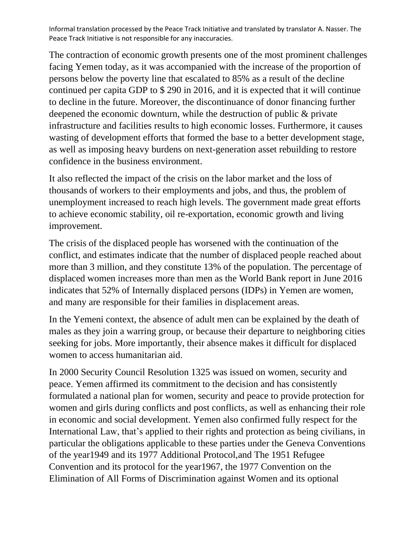The contraction of economic growth presents one of the most prominent challenges facing Yemen today, as it was accompanied with the increase of the proportion of persons below the poverty line that escalated to 85% as a result of the decline continued per capita GDP to \$ 290 in 2016, and it is expected that it will continue to decline in the future. Moreover, the discontinuance of donor financing further deepened the economic downturn, while the destruction of public & private infrastructure and facilities results to high economic losses. Furthermore, it causes wasting of development efforts that formed the base to a better development stage, as well as imposing heavy burdens on next-generation asset rebuilding to restore confidence in the business environment.

It also reflected the impact of the crisis on the labor market and the loss of thousands of workers to their employments and jobs, and thus, the problem of unemployment increased to reach high levels. The government made great efforts to achieve economic stability, oil re-exportation, economic growth and living improvement.

The crisis of the displaced people has worsened with the continuation of the conflict, and estimates indicate that the number of displaced people reached about more than 3 million, and they constitute 13% of the population. The percentage of displaced women increases more than men as the World Bank report in June 2016 indicates that 52% of Internally displaced persons (IDPs) in Yemen are women, and many are responsible for their families in displacement areas.

In the Yemeni context, the absence of adult men can be explained by the death of males as they join a warring group, or because their departure to neighboring cities seeking for jobs. More importantly, their absence makes it difficult for displaced women to access humanitarian aid.

In 2000 Security Council Resolution 1325 was issued on women, security and peace. Yemen affirmed its commitment to the decision and has consistently formulated a national plan for women, security and peace to provide protection for women and girls during conflicts and post conflicts, as well as enhancing their role in economic and social development. Yemen also confirmed fully respect for the International Law, that's applied to their rights and protection as being civilians, in particular the obligations applicable to these parties under the Geneva Conventions of the year1949 and its 1977 Additional Protocol,and The 1951 Refugee Convention and its protocol for the year1967, the 1977 Convention on the Elimination of All Forms of Discrimination against Women and its optional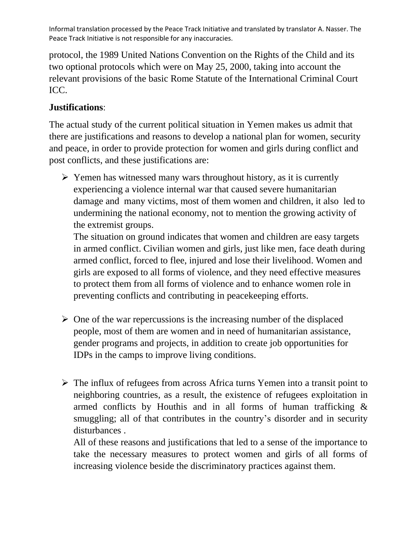protocol, the 1989 United Nations Convention on the Rights of the Child and its two optional protocols which were on May 25, 2000, taking into account the relevant provisions of the basic Rome Statute of the International Criminal Court ICC.

# **Justifications** :

The actual study of the current political situation in Yemen makes us admit that there are justifications and reasons to develop a national plan for women, security and peace, in order to provide protection for women and girls during conflict and post conflicts, and these justifications are:

➢ Yemen has witnessed many wars throughout history, as it is currently experiencing a violence internal war that caused severe humanitarian damage and many victims, most of them women and children, it also led to undermining the national economy, not to mention the growing activity of the extremist groups.

The situation on ground indicates that women and children are easy targets in armed conflict. Civilian women and girls, just like men, face death during armed conflict, forced to flee, injured and lose their livelihood. Women and girls are exposed to all forms of violence, and they need effective measures to protect them from all forms of violence and to enhance women role in preventing conflicts and contributing in peacekeeping efforts.

- $\triangleright$  One of the war repercussions is the increasing number of the displaced people, most of them are women and in need of humanitarian assistance, gender programs and projects, in addition to create job opportunities for IDPs in the camps to improve living conditions.
- ➢ The influx of refugees from across Africa turns Yemen into a transit point to neighboring countries, as a result, the existence of refugees exploitation in armed conflicts by Houthis and in all forms of human trafficking & smuggling; all of that contributes in the country's disorder and in security disturbances .

All of these reasons and justifications that led to a sense of the importance to take the necessary measures to protect women and girls of all forms of increasing violence beside the discriminatory practices against them.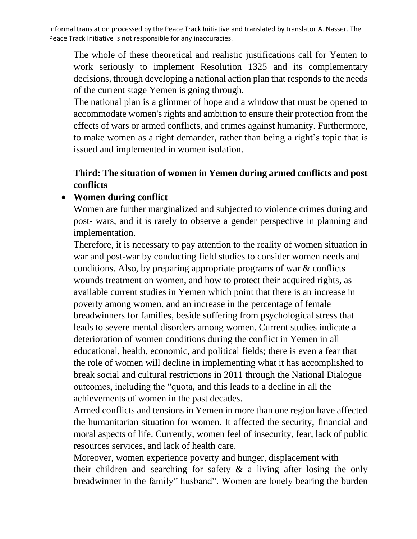The whole of these theoretical and realistic justifications call for Yemen to work seriously to implement Resolution 1325 and its complementary decisions, through developing a national action plan that responds to the needs of the current stage Yemen is going through.

The national plan is a glimmer of hope and a window that must be opened to accommodate women's rights and ambition to ensure their protection from the effects of wars or armed conflicts, and crimes against humanity. Furthermore, to make women as a right demander, rather than being a right's topic that is issued and implemented in women isolation.

## **Third: The situation of women in Yemen during armed conflicts and post conflicts**

#### • **Women during conflict**

Women are further marginalized and subjected to violence crimes during and post- wars, and it is rarely to observe a gender perspective in planning and implementation.

Therefore, it is necessary to pay attention to the reality of women situation in war and post-war by conducting field studies to consider women needs and conditions. Also, by preparing appropriate programs of war & conflicts wounds treatment on women, and how to protect their acquired rights, as available current studies in Yemen which point that there is an increase in poverty among women, and an increase in the percentage of female breadwinners for families, beside suffering from psychological stress that leads to severe mental disorders among women. Current studies indicate a deterioration of women conditions during the conflict in Yemen in all educational, health, economic, and political fields; there is even a fear that the role of women will decline in implementing what it has accomplished to break social and cultural restrictions in 2011 through the National Dialogue outcomes, including the "quota, and this leads to a decline in all the achievements of women in the past decades.

Armed conflicts and tensions in Yemen in more than one region have affected the humanitarian situation for women. It affected the security, financial and moral aspects of life. Currently, women feel of insecurity, fear, lack of public resources services, and lack of health care.

Moreover, women experience poverty and hunger, displacement with their children and searching for safety & a living after losing the only breadwinner in the family" husband". Women are lonely bearing the burden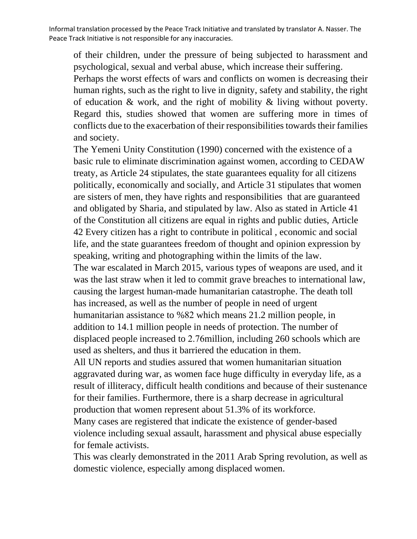of their children, under the pressure of being subjected to harassment and psychological, sexual and verbal abuse, which increase their suffering. Perhaps the worst effects of wars and conflicts on women is decreasing their human rights, such as the right to live in dignity, safety and stability, the right of education & work, and the right of mobility & living without poverty. Regard this, studies showed that women are suffering more in times of conflicts due to the exacerbation of their responsibilities towards their families and society.

The Yemeni Unity Constitution (1990) concerned with the existence of a basic rule to eliminate discrimination against women, according to CEDAW treaty, as Article 24 stipulates, the state guarantees equality for all citizens politically, economically and socially, and Article 31 stipulates that women are sisters of men, they have rights and responsibilities that are guaranteed and obligated by Sharia, and stipulated by law. Also as stated in Article 41 of the Constitution all citizens are equal in rights and public duties, Article 42 Every citizen has a right to contribute in political , economic and social life, and the state guarantees freedom of thought and opinion expression by speaking, writing and photographing within the limits of the law. The war escalated in March 2015, various types of weapons are used, and it was the last straw when it led to commit grave breaches to international law, causing the largest human-made humanitarian catastrophe. The death toll has increased, as well as the number of people in need of urgent humanitarian assistance to %82 which means 21.2 million people, in addition to 14.1 million people in needs of protection. The number of displaced people increased to 2.76million, including 260 schools which are used as shelters, and thus it barriered the education in them. All UN reports and studies assured that women humanitarian situation aggravated during war, as women face huge difficulty in everyday life, as a result of illiteracy, difficult health conditions and because of their sustenance for their families. Furthermore, there is a sharp decrease in agricultural production that women represent about 51.3% of its workforce.

Many cases are registered that indicate the existence of gender-based violence including sexual assault, harassment and physical abuse especially for female activists.

This was clearly demonstrated in the 2011 Arab Spring revolution, as well as domestic violence, especially among displaced women.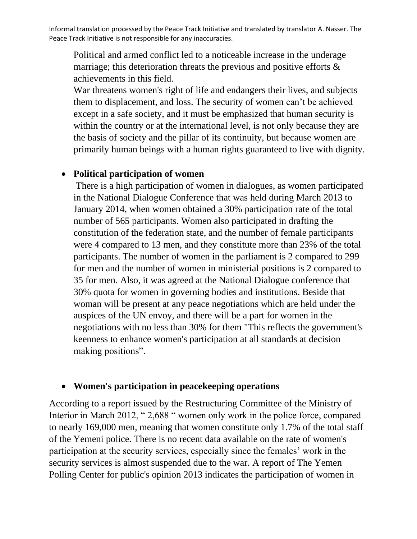Political and armed conflict led to a noticeable increase in the underage marriage; this deterioration threats the previous and positive efforts & achievements in this field.

War threatens women's right of life and endangers their lives, and subjects them to displacement, and loss. The security of women can't be achieved except in a safe society, and it must be emphasized that human security is within the country or at the international level, is not only because they are the basis of society and the pillar of its continuity, but because women are primarily human beings with a human rights guaranteed to live with dignity.

#### • **Political participation of women**

There is a high participation of women in dialogues, as women participated in the National Dialogue Conference that was held during March 2013 to January 2014, when women obtained a 30% participation rate of the total number of 565 participants. Women also participated in drafting the constitution of the federation state, and the number of female participants were 4 compared to 13 men, and they constitute more than 23% of the total participants. The number of women in the parliament is 2 compared to 299 for men and the number of women in ministerial positions is 2 compared to 35 for men. Also, it was agreed at the National Dialogue conference that 30% quota for women in governing bodies and institutions. Beside that woman will be present at any peace negotiations which are held under the auspices of the UN envoy, and there will be a part for women in the negotiations with no less than 30% for them "This reflects the government's keenness to enhance women's participation at all standards at decision making positions".

#### • **Women's participation in peacekeeping operations**

According to a report issued by the Restructuring Committee of the Ministry of Interior in March 2012, " 2,688 " women only work in the police force, compared to nearly 169,000 men, meaning that women constitute only 1.7% of the total staff of the Yemeni police. There is no recent data available on the rate of women's participation at the security services, especially since the females' work in the security services is almost suspended due to the war. A report of The Yemen Polling Center for public's opinion 2013 indicates the participation of women in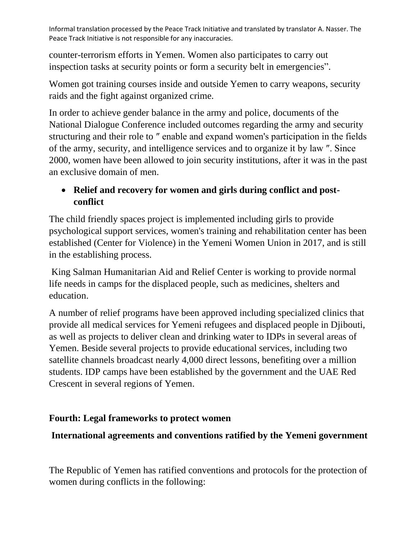counter-terrorism efforts in Yemen. Women also participates to carry out inspection tasks at security points or form a security belt in emergencies".

Women got training courses inside and outside Yemen to carry weapons, security raids and the fight against organized crime.

In order to achieve gender balance in the army and police, documents of the National Dialogue Conference included outcomes regarding the army and security structuring and their role to ″ enable and expand women's participation in the fields of the army, security, and intelligence services and to organize it by law ″. Since 2000, women have been allowed to join security institutions, after it was in the past an exclusive domain of men.

# • **Relief and recovery for women and girls during conflict and postconflict**

The child friendly spaces project is implemented including girls to provide psychological support services, women's training and rehabilitation center has been established (Center for Violence) in the Yemeni Women Union in 2017, and is still in the establishing process.

King Salman Humanitarian Aid and Relief Center is working to provide normal life needs in camps for the displaced people, such as medicines, shelters and education.

A number of relief programs have been approved including specialized clinics that provide all medical services for Yemeni refugees and displaced people in Djibouti, as well as projects to deliver clean and drinking water to IDPs in several areas of Yemen. Beside several projects to provide educational services, including two satellite channels broadcast nearly 4,000 direct lessons, benefiting over a million students. IDP camps have been established by the government and the UAE Red Crescent in several regions of Yemen.

# **Fourth: Legal frameworks to protect women**

# **International agreements and conventions ratified by the Yemeni government**

The Republic of Yemen has ratified conventions and protocols for the protection of women during conflicts in the following: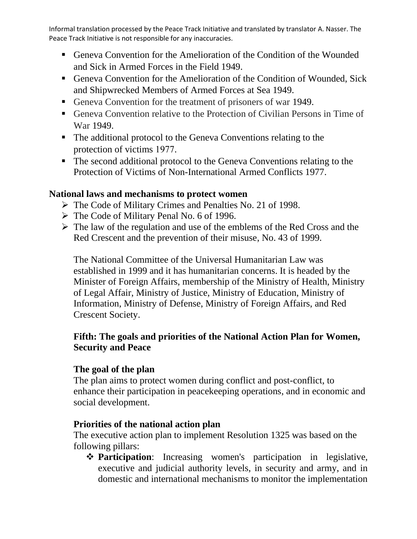- Geneva Convention for the Amelioration of the Condition of the Wounded and Sick in Armed Forces in the Field 1949.
- Geneva Convention for the Amelioration of the Condition of Wounded, Sick and Shipwrecked Members of Armed Forces at Sea 1949.
- Geneva Convention for the treatment of prisoners of war 1949.
- Geneva Convention relative to the Protection of Civilian Persons in Time of War 1949.
- The additional protocol to the Geneva Conventions relating to the protection of victims 1977.
- The second additional protocol to the Geneva Conventions relating to the Protection of Victims of Non-International Armed Conflicts 1977.

## **National laws and mechanisms to protect women**

- ➢ The Code of Military Crimes and Penalties No. 21 of 1998.
- ➢ The Code of Military Penal No. 6 of 1996.
- ➢ The law of the regulation and use of the emblems of the Red Cross and the Red Crescent and the prevention of their misuse, No. 43 of 1999.

The National Committee of the Universal Humanitarian Law was established in 1999 and it has humanitarian concerns. It is headed by the Minister of Foreign Affairs, membership of the Ministry of Health, Ministry of Legal Affair, Ministry of Justice, Ministry of Education, Ministry of Information, Ministry of Defense, Ministry of Foreign Affairs, and Red Crescent Society.

## **Fifth: The goals and priorities of the National Action Plan for Women, Security and Peace**

## **The goal of the plan**

The plan aims to protect women during conflict and post-conflict, to enhance their participation in peacekeeping operations, and in economic and social development.

## **Priorities of the national action plan**

The executive action plan to implement Resolution 1325 was based on the following pillars:

❖ **Participation**: Increasing women's participation in legislative, executive and judicial authority levels, in security and army, and in domestic and international mechanisms to monitor the implementation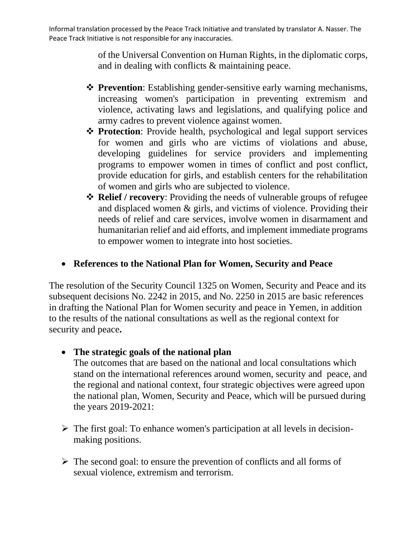> of the Universal Convention on Human Rights, in the diplomatic corps, and in dealing with conflicts & maintaining peace.

- ❖ **Prevention**: Establishing gender-sensitive early warning mechanisms, increasing women's participation in preventing extremism and violence, activating laws and legislations, and qualifying police and army cadres to prevent violence against women.
- ❖ **Protection**: Provide health, psychological and legal support services for women and girls who are victims of violations and abuse, developing guidelines for service providers and implementing programs to empower women in times of conflict and post conflict, provide education for girls, and establish centers for the rehabilitation of women and girls who are subjected to violence.
- ❖ **Relief / recovery**: Providing the needs of vulnerable groups of refugee and displaced women & girls, and victims of violence. Providing their needs of relief and care services, involve women in disarmament and humanitarian relief and aid efforts, and implement immediate programs to empower women to integrate into host societies.

## • **References to the National Plan for Women, Security and Peace**

The resolution of the Security Council 1325 on Women, Security and Peace and its subsequent decisions No. 2242 in 2015, and No. 2250 in 2015 are basic references in drafting the National Plan for Women security and peace in Yemen, in addition to the results of the national consultations as well as the regional context for security and peace.

• **The strategic goals of the national plan**

The outcomes that are based on the national and local consultations which stand on the international references around women, security and peace, and the regional and national context, four strategic objectives were agreed upon the national plan, Women, Security and Peace, which will be pursued during the years 2019-2021:

- $\triangleright$  The first goal: To enhance women's participation at all levels in decisionmaking positions.
- ➢ The second goal: to ensure the prevention of conflicts and all forms of sexual violence, extremism and terrorism.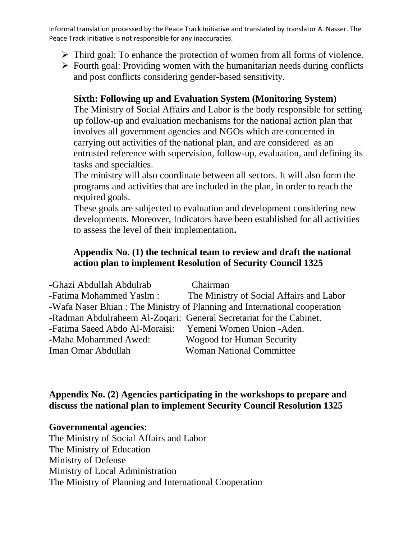- ➢ Third goal: To enhance the protection of women from all forms of violence.
- $\triangleright$  Fourth goal: Providing women with the humanitarian needs during conflicts and post conflicts considering gender-based sensitivity.

## **Sixth: Following up and Evaluation System (Monitoring System)**

The Ministry of Social Affairs and Labor is the body responsible for setting up follow-up and evaluation mechanisms for the national action plan that involves all government agencies and NGOs which are concerned in carrying out activities of the national plan, and are considered as an entrusted reference with supervision, follow-up, evaluation, and defining its tasks and specialties.

The ministry will also coordinate between all sectors. It will also form the programs and activities that are included in the plan, in order to reach the required goals.

These goals are subjected to evaluation and development considering new developments. Moreover, Indicators have been established for all activities to assess the level of their implementation.

#### **Appendix No. (1) the technical team to review and draft the national action plan to implement Resolution of Security Council 1325**

| -Ghazi Abdullah Abdulrab                                 | Chairman                                                                  |
|----------------------------------------------------------|---------------------------------------------------------------------------|
| -Fatima Mohammed Yaslm:                                  | The Ministry of Social Affairs and Labor                                  |
|                                                          | -Wafa Naser Bhian: The Ministry of Planning and International cooperation |
|                                                          | -Radman Abdulraheem Al-Zoqari: General Secretariat for the Cabinet.       |
| -Fatima Saeed Abdo Al-Moraisi: Yemeni Women Union -Aden. |                                                                           |
| -Maha Mohammed Awed:                                     | Wogood for Human Security                                                 |
| Iman Omar Abdullah                                       | <b>Woman National Committee</b>                                           |

#### **Appendix No. (2) Agencies participating in the workshops to prepare and discuss the national plan to implement Security Council Resolution 1325**

**Governmental agencies:** The Ministry of Social Affairs and Labor The Ministry of Education Ministry of Defense Ministry of Local Administration The Ministry of Planning and International Cooperation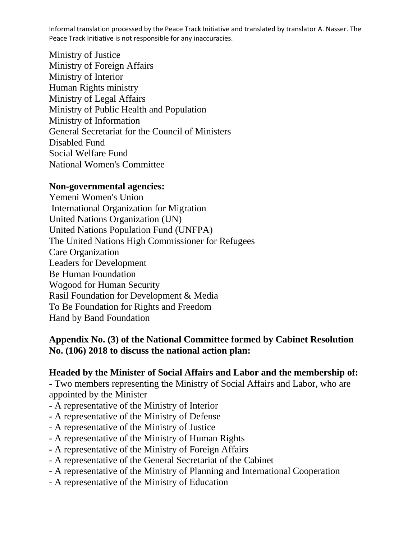Ministry of Justice Ministry of Foreign Affairs Ministry of Interior Human Rights ministry Ministry of Legal Affairs Ministry of Public Health and Population Ministry of Information General Secretariat for the Council of Ministers Disabled Fund Social Welfare Fund National Women's Committee

#### **Non-governmental agencies:**

Yemeni Women's Union International Organization for Migration United Nations Organization (UN) United Nations Population Fund (UNFPA) The United Nations High Commissioner for Refugees Care Organization Leaders for Development Be Human Foundation Wogood for Human Security Rasil Foundation for Development & Media To Be Foundation for Rights and Freedom Hand by Band Foundation

#### **Appendix No. (3) of the National Committee formed by Cabinet Resolution No. (106) 2018 to discuss the national action plan:**

#### **Headed by the Minister of Social Affairs and Labor and the membership of:**

**-** Two members representing the Ministry of Social Affairs and Labor, who are appointed by the Minister

- A representative of the Ministry of Interior
- A representative of the Ministry of Defense
- A representative of the Ministry of Justice
- A representative of the Ministry of Human Rights
- A representative of the Ministry of Foreign Affairs
- A representative of the General Secretariat of the Cabinet
- A representative of the Ministry of Planning and International Cooperation
- A representative of the Ministry of Education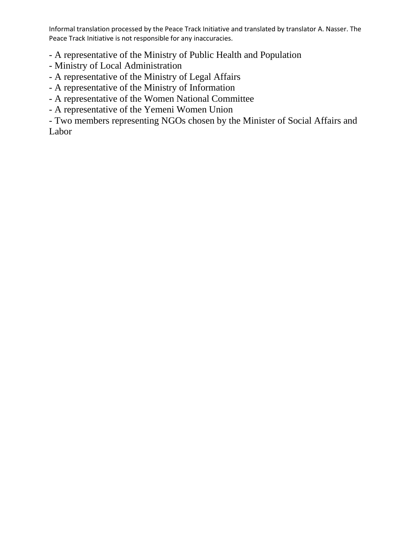- A representative of the Ministry of Public Health and Population

- Ministry of Local Administration
- A representative of the Ministry of Legal Affairs
- A representative of the Ministry of Information
- A representative of the Women National Committee
- A representative of the Yemeni Women Union

- Two members representing NGOs chosen by the Minister of Social Affairs and Labor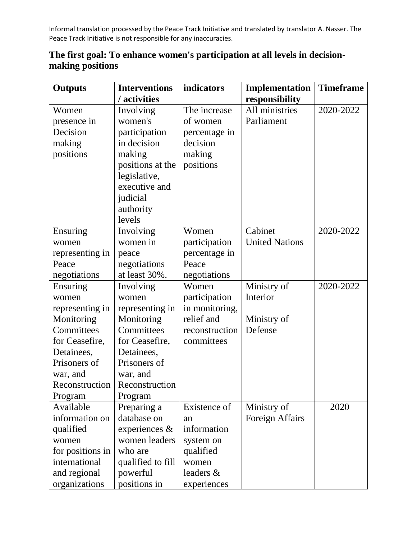| <b>Outputs</b>   | <b>Interventions</b> | indicators     | Implementation        | <b>Timeframe</b> |
|------------------|----------------------|----------------|-----------------------|------------------|
|                  | / activities         |                | responsibility        |                  |
| Women            | Involving            | The increase   | All ministries        | 2020-2022        |
| presence in      | women's              | of women       | Parliament            |                  |
| Decision         | participation        | percentage in  |                       |                  |
| making           | in decision          | decision       |                       |                  |
| positions        | making               | making         |                       |                  |
|                  | positions at the     | positions      |                       |                  |
|                  | legislative,         |                |                       |                  |
|                  | executive and        |                |                       |                  |
|                  | judicial             |                |                       |                  |
|                  | authority            |                |                       |                  |
|                  | levels               |                |                       |                  |
| Ensuring         | Involving            | Women          | Cabinet               | 2020-2022        |
| women            | women in             | participation  | <b>United Nations</b> |                  |
| representing in  | peace                | percentage in  |                       |                  |
| Peace            | negotiations         | Peace          |                       |                  |
| negotiations     | at least 30%.        | negotiations   |                       |                  |
| Ensuring         | Involving            | Women          | Ministry of           | 2020-2022        |
| women            | women                | participation  | Interior              |                  |
| representing in  | representing in      | in monitoring, |                       |                  |
| Monitoring       | Monitoring           | relief and     | Ministry of           |                  |
| Committees       | Committees           | reconstruction | Defense               |                  |
| for Ceasefire,   | for Ceasefire,       | committees     |                       |                  |
| Detainees,       | Detainees,           |                |                       |                  |
| Prisoners of     | Prisoners of         |                |                       |                  |
| war, and         | war, and             |                |                       |                  |
| Reconstruction   | Reconstruction       |                |                       |                  |
| Program          | Program              |                |                       |                  |
| Available        | Preparing a          | Existence of   | Ministry of           | 2020             |
| information on   | database on          | an             | Foreign Affairs       |                  |
| qualified        | experiences &        | information    |                       |                  |
| women            | women leaders        | system on      |                       |                  |
| for positions in | who are              | qualified      |                       |                  |
| international    | qualified to fill    | women          |                       |                  |
| and regional     | powerful             | leaders &      |                       |                  |
| organizations    | positions in         | experiences    |                       |                  |

# **The first goal: To enhance women's participation at all levels in decisionmaking positions**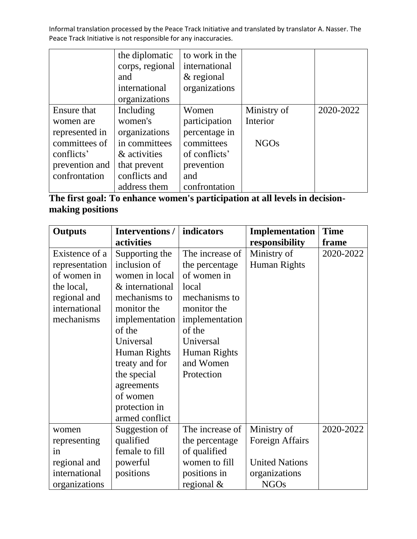|                | the diplomatic  | to work in the |             |           |
|----------------|-----------------|----------------|-------------|-----------|
|                | corps, regional | international  |             |           |
|                | and             | $&$ regional   |             |           |
|                | international   | organizations  |             |           |
|                | organizations   |                |             |           |
| Ensure that    | Including       | Women          | Ministry of | 2020-2022 |
| women are      | women's         | participation  | Interior    |           |
| represented in | organizations   | percentage in  |             |           |
| committees of  | in committees   | committees     | <b>NGOs</b> |           |
| conflicts'     | & activities    | of conflicts'  |             |           |
| prevention and | that prevent    | prevention     |             |           |
| confrontation  | conflicts and   | and            |             |           |
|                | address them    | confrontation  |             |           |

# **The first goal: To enhance women's participation at all levels in decisionmaking positions**

| <b>Outputs</b> | <b>Interventions /</b> | indicators      | Implementation         | <b>Time</b> |
|----------------|------------------------|-----------------|------------------------|-------------|
|                | activities             |                 | responsibility         | frame       |
| Existence of a | Supporting the         | The increase of | Ministry of            | 2020-2022   |
| representation | inclusion of           | the percentage  | Human Rights           |             |
| of women in    | women in local         | of women in     |                        |             |
| the local,     | & international        | local           |                        |             |
| regional and   | mechanisms to          | mechanisms to   |                        |             |
| international  | monitor the            | monitor the     |                        |             |
| mechanisms     | implementation         | implementation  |                        |             |
|                | of the                 | of the          |                        |             |
|                | Universal              | Universal       |                        |             |
|                | Human Rights           | Human Rights    |                        |             |
|                | treaty and for         | and Women       |                        |             |
|                | the special            | Protection      |                        |             |
|                | agreements             |                 |                        |             |
|                | of women               |                 |                        |             |
|                | protection in          |                 |                        |             |
|                | armed conflict         |                 |                        |             |
| women          | Suggestion of          | The increase of | Ministry of            | 2020-2022   |
| representing   | qualified              | the percentage  | <b>Foreign Affairs</b> |             |
| in             | female to fill         | of qualified    |                        |             |
| regional and   | powerful               | women to fill   | <b>United Nations</b>  |             |
| international  | positions              | positions in    | organizations          |             |
| organizations  |                        | regional $\&$   | <b>NGOs</b>            |             |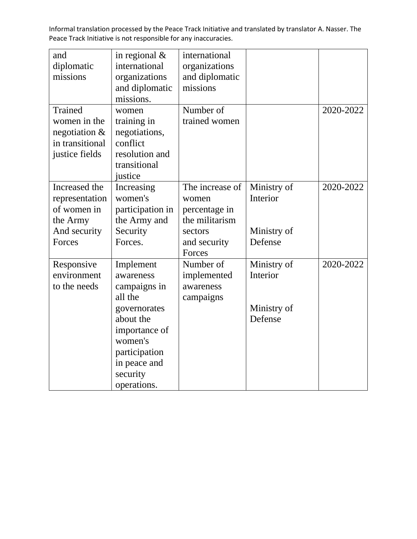| and              | in regional $&$  | international   |             |           |
|------------------|------------------|-----------------|-------------|-----------|
| diplomatic       | international    | organizations   |             |           |
| missions         | organizations    | and diplomatic  |             |           |
|                  | and diplomatic   | missions        |             |           |
|                  | missions.        |                 |             |           |
| <b>Trained</b>   | women            | Number of       |             | 2020-2022 |
| women in the     | training in      | trained women   |             |           |
| negotiation $\&$ | negotiations,    |                 |             |           |
| in transitional  | conflict         |                 |             |           |
| justice fields   | resolution and   |                 |             |           |
|                  | transitional     |                 |             |           |
|                  | justice          |                 |             |           |
| Increased the    | Increasing       | The increase of | Ministry of | 2020-2022 |
| representation   | women's          | women           | Interior    |           |
| of women in      | participation in | percentage in   |             |           |
| the Army         | the Army and     | the militarism  |             |           |
| And security     | Security         | sectors         | Ministry of |           |
| Forces           | Forces.          | and security    | Defense     |           |
|                  |                  | Forces          |             |           |
| Responsive       | Implement        | Number of       | Ministry of | 2020-2022 |
| environment      | awareness        | implemented     | Interior    |           |
| to the needs     | campaigns in     | awareness       |             |           |
|                  | all the          | campaigns       |             |           |
|                  | governorates     |                 | Ministry of |           |
|                  | about the        |                 | Defense     |           |
|                  | importance of    |                 |             |           |
|                  | women's          |                 |             |           |
|                  | participation    |                 |             |           |
|                  | in peace and     |                 |             |           |
|                  | security         |                 |             |           |
|                  | operations.      |                 |             |           |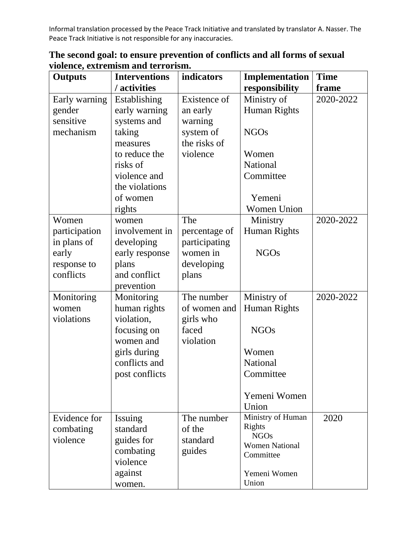| <b>Outputs</b> | <b>Interventions</b> | indicators    | <b>Implementation</b> | <b>Time</b> |
|----------------|----------------------|---------------|-----------------------|-------------|
|                | / activities         |               | responsibility        | frame       |
| Early warning  | Establishing         | Existence of  | Ministry of           | 2020-2022   |
| gender         | early warning        | an early      | <b>Human Rights</b>   |             |
| sensitive      | systems and          | warning       |                       |             |
| mechanism      | taking               | system of     | <b>NGOs</b>           |             |
|                | measures             | the risks of  |                       |             |
|                | to reduce the        | violence      | Women                 |             |
|                | risks of             |               | <b>National</b>       |             |
|                | violence and         |               | Committee             |             |
|                | the violations       |               |                       |             |
|                | of women             |               | Yemeni                |             |
|                | rights               |               | <b>Women Union</b>    |             |
| Women          | women                | The           | Ministry              | 2020-2022   |
| participation  | involvement in       | percentage of | <b>Human Rights</b>   |             |
| in plans of    | developing           | participating |                       |             |
| early          | early response       | women in      | <b>NGOs</b>           |             |
| response to    | plans                | developing    |                       |             |
| conflicts      | and conflict         | plans         |                       |             |
|                | prevention           |               |                       |             |
| Monitoring     | Monitoring           | The number    | Ministry of           | 2020-2022   |
| women          | human rights         | of women and  | <b>Human Rights</b>   |             |
| violations     | violation,           | girls who     |                       |             |
|                | focusing on          | faced         | <b>NGOs</b>           |             |
|                | women and            | violation     |                       |             |
|                | girls during         |               | Women                 |             |
|                | conflicts and        |               | National              |             |
|                | post conflicts       |               | Committee             |             |
|                |                      |               |                       |             |
|                |                      |               | Yemeni Women          |             |
|                |                      |               | Union                 |             |
| Evidence for   | Issuing              | The number    | Ministry of Human     | 2020        |
| combating      | standard             | of the        | Rights<br><b>NGOs</b> |             |
| violence       | guides for           | standard      | <b>Women National</b> |             |
|                | combating            | guides        | Committee             |             |
|                | violence             |               |                       |             |
|                | against              |               | Yemeni Women          |             |
|                | women.               |               | Union                 |             |

| The second goal: to ensure prevention of conflicts and all forms of sexual |
|----------------------------------------------------------------------------|
| violence, extremism and terrorism.                                         |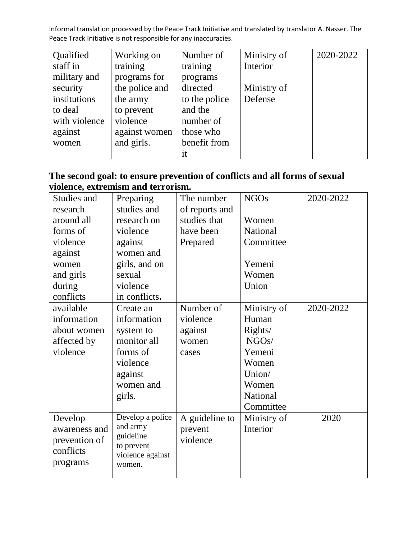| Qualified     | Working on     | Number of     | Ministry of | 2020-2022 |
|---------------|----------------|---------------|-------------|-----------|
| staff in      | training       | training      | Interior    |           |
| military and  | programs for   | programs      |             |           |
| security      | the police and | directed      | Ministry of |           |
| institutions  | the army       | to the police | Defense     |           |
| to deal       | to prevent     | and the       |             |           |
| with violence | violence       | number of     |             |           |
| against       | against women  | those who     |             |           |
| women         | and girls.     | benefit from  |             |           |
|               |                | it            |             |           |

# **The second goal: to ensure prevention of conflicts and all forms of sexual violence, extremism and terrorism.**

| Studies and   | Preparing               | The number     | <b>NGOs</b>        | 2020-2022 |
|---------------|-------------------------|----------------|--------------------|-----------|
| research      | studies and             | of reports and |                    |           |
| around all    | research on             | studies that   | Women              |           |
| forms of      | violence                | have been      | <b>National</b>    |           |
| violence      | against                 | Prepared       | Committee          |           |
| against       | women and               |                |                    |           |
| women         | girls, and on           |                | Yemeni             |           |
| and girls     | sexual                  |                | Women              |           |
| during        | violence                |                | Union              |           |
| conflicts     | in conflicts.           |                |                    |           |
| available     | Create an               | Number of      | Ministry of        | 2020-2022 |
| information   | information             | violence       | Human              |           |
| about women   | system to               | against        | Rights/            |           |
| affected by   | monitor all             | women          | NGO <sub>s</sub> / |           |
| violence      | forms of                | cases          | Yemeni             |           |
|               | violence                |                | Women              |           |
|               | against                 |                | Union/             |           |
|               | women and               |                | Women              |           |
|               | girls.                  |                | National           |           |
|               |                         |                | Committee          |           |
| Develop       | Develop a police        | A guideline to | Ministry of        | 2020      |
| awareness and | and army                | prevent        | Interior           |           |
| prevention of | guideline<br>to prevent | violence       |                    |           |
| conflicts     | violence against        |                |                    |           |
| programs      | women.                  |                |                    |           |
|               |                         |                |                    |           |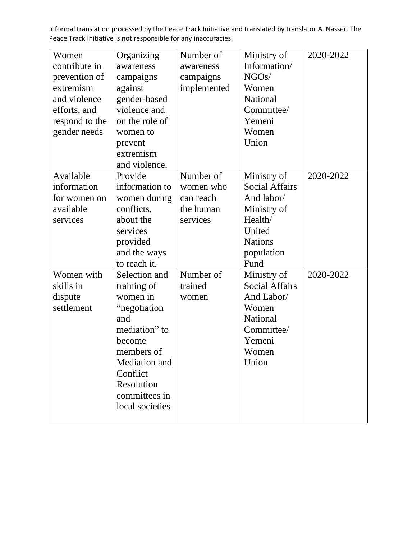| Women<br>contribute in<br>prevention of<br>extremism<br>and violence<br>efforts, and<br>respond to the<br>gender needs | Organizing<br>awareness<br>campaigns<br>against<br>gender-based<br>violence and<br>on the role of<br>women to<br>prevent<br>extremism<br>and violence.                                  | Number of<br>awareness<br>campaigns<br>implemented           | Ministry of<br>Information/<br>NGOs/<br>Women<br><b>National</b><br>Committee/<br>Yemeni<br>Women<br>Union                     | 2020-2022 |
|------------------------------------------------------------------------------------------------------------------------|-----------------------------------------------------------------------------------------------------------------------------------------------------------------------------------------|--------------------------------------------------------------|--------------------------------------------------------------------------------------------------------------------------------|-----------|
| Available<br>information<br>for women on<br>available<br>services                                                      | Provide<br>information to<br>women during<br>conflicts,<br>about the<br>services<br>provided<br>and the ways<br>to reach it.                                                            | Number of<br>women who<br>can reach<br>the human<br>services | Ministry of<br><b>Social Affairs</b><br>And labor/<br>Ministry of<br>Health/<br>United<br><b>Nations</b><br>population<br>Fund | 2020-2022 |
| Women with<br>skills in<br>dispute<br>settlement                                                                       | Selection and<br>training of<br>women in<br>"negotiation<br>and<br>mediation" to<br>become<br>members of<br>Mediation and<br>Conflict<br>Resolution<br>committees in<br>local societies | Number of<br>trained<br>women                                | Ministry of<br><b>Social Affairs</b><br>And Labor/<br>Women<br>National<br>Committee/<br>Yemeni<br>Women<br>Union              | 2020-2022 |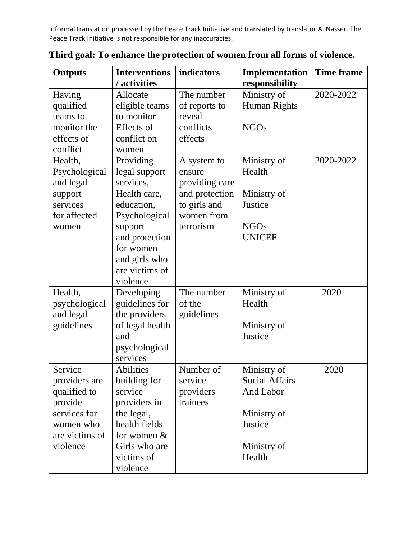| <b>Outputs</b> | <b>Interventions</b> | indicators     | Implementation        | <b>Time frame</b> |
|----------------|----------------------|----------------|-----------------------|-------------------|
|                | / activities         |                | responsibility        |                   |
| Having         | Allocate             | The number     | Ministry of           | 2020-2022         |
| qualified      | eligible teams       | of reports to  | Human Rights          |                   |
| teams to       | to monitor           | reveal         |                       |                   |
| monitor the    | Effects of           | conflicts      | <b>NGOs</b>           |                   |
| effects of     | conflict on          | effects        |                       |                   |
| conflict       | women                |                |                       |                   |
| Health,        | Providing            | A system to    | Ministry of           | 2020-2022         |
| Psychological  | legal support        | ensure         | Health                |                   |
| and legal      | services,            | providing care |                       |                   |
| support        | Health care,         | and protection | Ministry of           |                   |
| services       | education,           | to girls and   | Justice               |                   |
| for affected   | Psychological        | women from     |                       |                   |
| women          | support              | terrorism      | <b>NGOs</b>           |                   |
|                | and protection       |                | <b>UNICEF</b>         |                   |
|                | for women            |                |                       |                   |
|                | and girls who        |                |                       |                   |
|                | are victims of       |                |                       |                   |
|                | violence             |                |                       |                   |
| Health,        | Developing           | The number     | Ministry of           | 2020              |
| psychological  | guidelines for       | of the         | Health                |                   |
| and legal      | the providers        | guidelines     |                       |                   |
| guidelines     | of legal health      |                | Ministry of           |                   |
|                | and                  |                | Justice               |                   |
|                | psychological        |                |                       |                   |
|                | services             |                |                       |                   |
| Service        | Abilities            | Number of      | Ministry of           | 2020              |
| providers are  | building for         | service        | <b>Social Affairs</b> |                   |
| qualified to   | service              | providers      | And Labor             |                   |
| provide        | providers in         | trainees       |                       |                   |
| services for   | the legal,           |                | Ministry of           |                   |
| women who      | health fields        |                | Justice               |                   |
| are victims of | for women $&$        |                |                       |                   |
| violence       | Girls who are        |                | Ministry of           |                   |
|                | victims of           |                | Health                |                   |
|                | violence             |                |                       |                   |

**Third goal: To enhance the protection of women from all forms of violence.**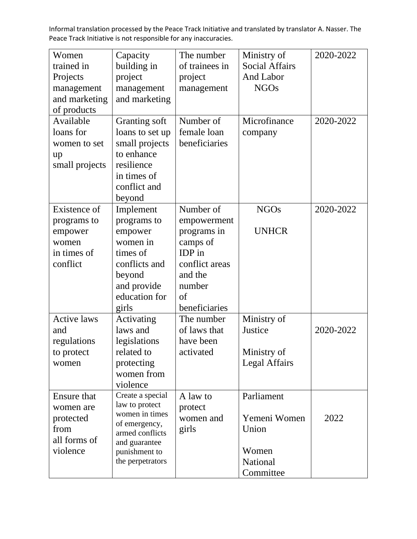| Women<br>trained in<br>Projects<br>management<br>and marketing<br>of products    | Capacity<br>building in<br>project<br>management<br>and marketing                                                                              | The number<br>of trainees in<br>project<br>management                                                                       | Ministry of<br><b>Social Affairs</b><br>And Labor<br><b>NGOs</b>      | 2020-2022 |
|----------------------------------------------------------------------------------|------------------------------------------------------------------------------------------------------------------------------------------------|-----------------------------------------------------------------------------------------------------------------------------|-----------------------------------------------------------------------|-----------|
| Available<br>loans for<br>women to set<br>up<br>small projects                   | Granting soft<br>loans to set up<br>small projects<br>to enhance<br>resilience<br>in times of<br>conflict and<br>beyond                        | Number of<br>female loan<br>beneficiaries                                                                                   | Microfinance<br>company                                               | 2020-2022 |
| Existence of<br>programs to<br>empower<br>women<br>in times of<br>conflict       | Implement<br>programs to<br>empower<br>women in<br>times of<br>conflicts and<br>beyond<br>and provide<br>education for<br>girls                | Number of<br>empowerment<br>programs in<br>camps of<br>IDP in<br>conflict areas<br>and the<br>number<br>of<br>beneficiaries | <b>NGOs</b><br><b>UNHCR</b>                                           | 2020-2022 |
| <b>Active laws</b><br>and<br>regulations<br>to protect<br>women                  | Activating<br>laws and<br>legislations<br>related to<br>protecting<br>women from<br>violence                                                   | The number<br>of laws that<br>have been<br>activated                                                                        | Ministry of<br>Justice<br>Ministry of<br><b>Legal Affairs</b>         | 2020-2022 |
| <b>Ensure that</b><br>women are<br>protected<br>from<br>all forms of<br>violence | Create a special<br>law to protect<br>women in times<br>of emergency,<br>armed conflicts<br>and guarantee<br>punishment to<br>the perpetrators | A law to<br>protect<br>women and<br>girls                                                                                   | Parliament<br>Yemeni Women<br>Union<br>Women<br>National<br>Committee | 2022      |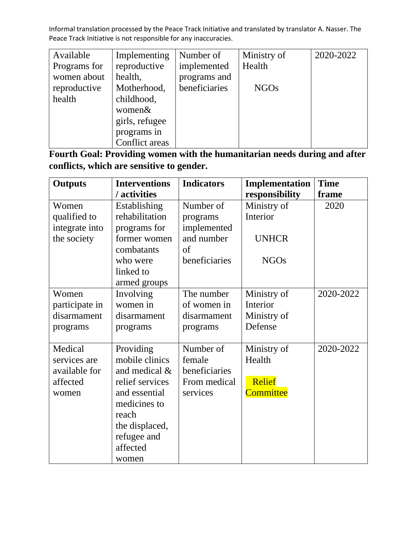| Available    | Implementing   | Number of     | Ministry of | 2020-2022 |
|--------------|----------------|---------------|-------------|-----------|
| Programs for | reproductive   | implemented   | Health      |           |
| women about  | health,        | programs and  |             |           |
| reproductive | Motherhood,    | beneficiaries | <b>NGOs</b> |           |
| health       | childhood,     |               |             |           |
|              | women&         |               |             |           |
|              | girls, refugee |               |             |           |
|              | programs in    |               |             |           |
|              | Conflict areas |               |             |           |

**Fourth Goal: Providing women with the humanitarian needs during and after conflicts, which are sensitive to gender.**

| <b>Outputs</b> | <b>Interventions</b> | <b>Indicators</b> | Implementation   | <b>Time</b> |
|----------------|----------------------|-------------------|------------------|-------------|
|                | / activities         |                   | responsibility   | frame       |
| Women          | Establishing         | Number of         | Ministry of      | 2020        |
| qualified to   | rehabilitation       | programs          | Interior         |             |
| integrate into | programs for         | implemented       |                  |             |
| the society    | former women         | and number        | <b>UNHCR</b>     |             |
|                | combatants           | of                |                  |             |
|                | who were             | beneficiaries     | <b>NGOs</b>      |             |
|                | linked to            |                   |                  |             |
|                | armed groups         |                   |                  |             |
| Women          | Involving            | The number        | Ministry of      | 2020-2022   |
| participate in | women in             | of women in       | Interior         |             |
| disarmament    | disarmament          | disarmament       | Ministry of      |             |
| programs       | programs             | programs          | Defense          |             |
|                |                      |                   |                  |             |
| Medical        | Providing            | Number of         | Ministry of      | 2020-2022   |
| services are   | mobile clinics       | female            | Health           |             |
| available for  | and medical &        | beneficiaries     |                  |             |
| affected       | relief services      | From medical      | Relief           |             |
| women          | and essential        | services          | <b>Committee</b> |             |
|                | medicines to         |                   |                  |             |
|                | reach                |                   |                  |             |
|                | the displaced,       |                   |                  |             |
|                | refugee and          |                   |                  |             |
|                | affected             |                   |                  |             |
|                | women                |                   |                  |             |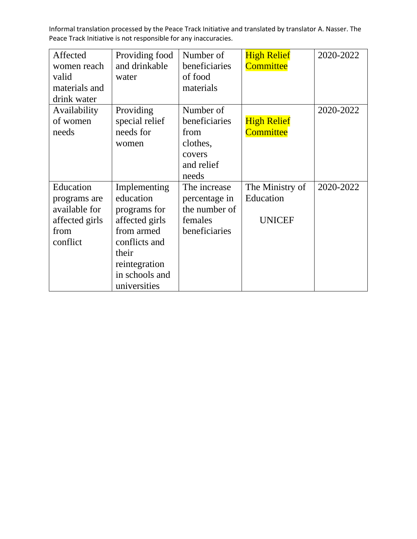| Affected<br>women reach<br>valid<br>materials and<br>drink water                 | Providing food<br>and drinkable<br>water                                                                                                               | Number of<br>beneficiaries<br>of food<br>materials                              | <b>High Relief</b><br><b>Committee</b>        | 2020-2022 |
|----------------------------------------------------------------------------------|--------------------------------------------------------------------------------------------------------------------------------------------------------|---------------------------------------------------------------------------------|-----------------------------------------------|-----------|
| Availability<br>of women<br>needs                                                | Providing<br>special relief<br>needs for<br>women                                                                                                      | Number of<br>beneficiaries<br>from<br>clothes,<br>covers<br>and relief<br>needs | <b>High Relief</b><br><b>Committee</b>        | 2020-2022 |
| Education<br>programs are<br>available for<br>affected girls<br>from<br>conflict | Implementing<br>education<br>programs for<br>affected girls<br>from armed<br>conflicts and<br>their<br>reintegration<br>in schools and<br>universities | The increase<br>percentage in<br>the number of<br>females<br>beneficiaries      | The Ministry of<br>Education<br><b>UNICEF</b> | 2020-2022 |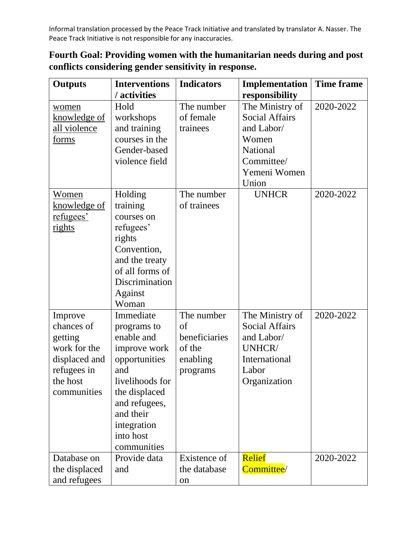**Fourth Goal: Providing women with the humanitarian needs during and post conflicts considering gender sensitivity in response.**

| <b>Outputs</b>   | <b>Interventions</b> | <b>Indicators</b> | Implementation        | <b>Time frame</b> |
|------------------|----------------------|-------------------|-----------------------|-------------------|
|                  | / activities         |                   | responsibility        |                   |
| women            | Hold                 | The number        | The Ministry of       | 2020-2022         |
| knowledge of     | workshops            | of female         | <b>Social Affairs</b> |                   |
| all violence     | and training         | trainees          | and Labor/            |                   |
| forms            | courses in the       |                   | Women                 |                   |
|                  | Gender-based         |                   | <b>National</b>       |                   |
|                  | violence field       |                   | Committee/            |                   |
|                  |                      |                   | Yemeni Women          |                   |
|                  |                      |                   | Union                 |                   |
| Women            | Holding              | The number        | <b>UNHCR</b>          | 2020-2022         |
| knowledge of     | training             | of trainees       |                       |                   |
| <u>refugees'</u> | courses on           |                   |                       |                   |
| rights           | refugees'            |                   |                       |                   |
|                  | rights               |                   |                       |                   |
|                  | Convention,          |                   |                       |                   |
|                  | and the treaty       |                   |                       |                   |
|                  | of all forms of      |                   |                       |                   |
|                  | Discrimination       |                   |                       |                   |
|                  | Against              |                   |                       |                   |
|                  | Woman                |                   |                       |                   |
| Improve          | Immediate            | The number        | The Ministry of       | 2020-2022         |
| chances of       | programs to          | of                | <b>Social Affairs</b> |                   |
| getting          | enable and           | beneficiaries     | and Labor/            |                   |
| work for the     | improve work         | of the            | UNHCR/                |                   |
| displaced and    | opportunities        | enabling          | International         |                   |
| refugees in      | and                  | programs          | Labor                 |                   |
| the host         | livelihoods for      |                   | Organization          |                   |
| communities      | the displaced        |                   |                       |                   |
|                  | and refugees,        |                   |                       |                   |
|                  | and their            |                   |                       |                   |
|                  | integration          |                   |                       |                   |
|                  | into host            |                   |                       |                   |
|                  | communities          |                   |                       |                   |
| Database on      | Provide data         | Existence of      | <b>Relief</b>         | 2020-2022         |
| the displaced    | and                  | the database      | Committee/            |                   |
| and refugees     |                      | on                |                       |                   |